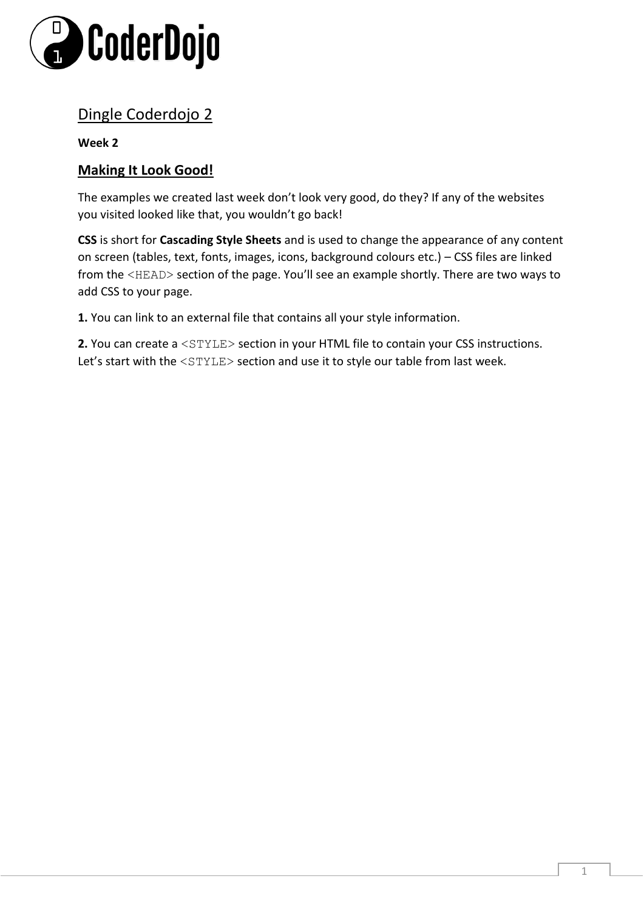

# Dingle Coderdojo 2

### **Week 2**

# **Making It Look Good!**

The examples we created last week don't look very good, do they? If any of the websites you visited looked like that, you wouldn't go back!

**CSS** is short for **Cascading Style Sheets** and is used to change the appearance of any content on screen (tables, text, fonts, images, icons, background colours etc.) – CSS files are linked from the <HEAD> section of the page. You'll see an example shortly. There are two ways to add CSS to your page.

**1.** You can link to an external file that contains all your style information.

**2.** You can create a <STYLE> section in your HTML file to contain your CSS instructions. Let's start with the <STYLE> section and use it to style our table from last week.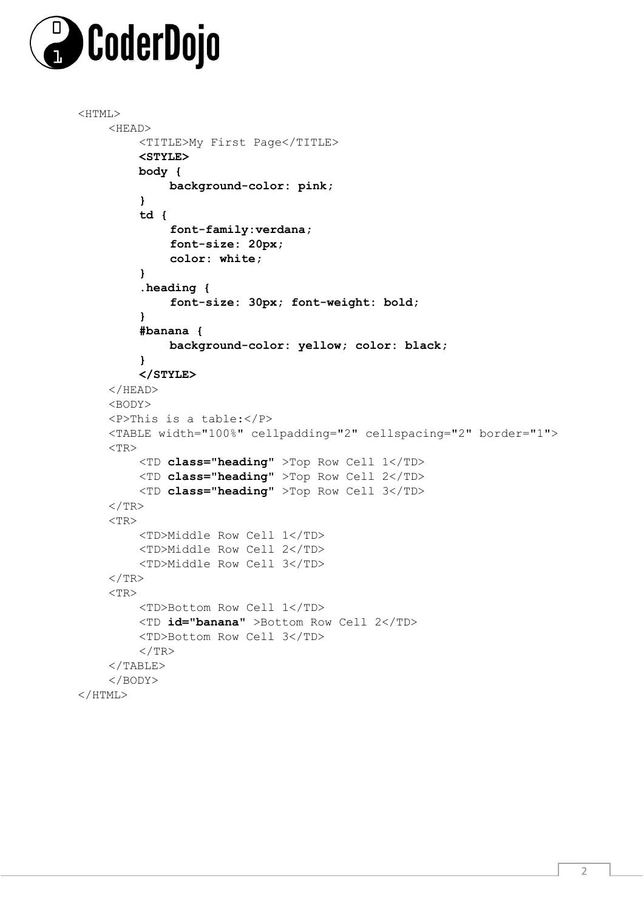

```
<HTML>
    <HEAD> 
         <TITLE>My First Page</TITLE> 
         <STYLE> 
         body { 
             background-color: pink; 
         } 
         td { 
              font-family:verdana; 
              font-size: 20px; 
              color: white; 
         } 
         .heading { 
              font-size: 30px; font-weight: bold; 
         } 
         #banana { 
              background-color: yellow; color: black; 
         } 
         </STYLE> 
    \langle/HEAD><BODY> 
    <P>This is a table:</P> 
    <TABLE width="100%" cellpadding="2" cellspacing="2" border="1"> 
    <TR><TD class="heading" >Top Row Cell 1</TD> 
         <TD class="heading" >Top Row Cell 2</TD> 
         <TD class="heading" >Top Row Cell 3</TD> 
    \langle/TR><TR><TD>Middle Row Cell 1</TD> 
         <TD>Middle Row Cell 2</TD> 
         <TD>Middle Row Cell 3</TD> 
    \langle/TR><TR><TD>Bottom Row Cell 1</TD> 
         <TD id="banana" >Bottom Row Cell 2</TD> 
         <TD>Bottom Row Cell 3</TD> 
         \langle/TR>\langle/TABLE>
    </BODY> 
</HTML>
```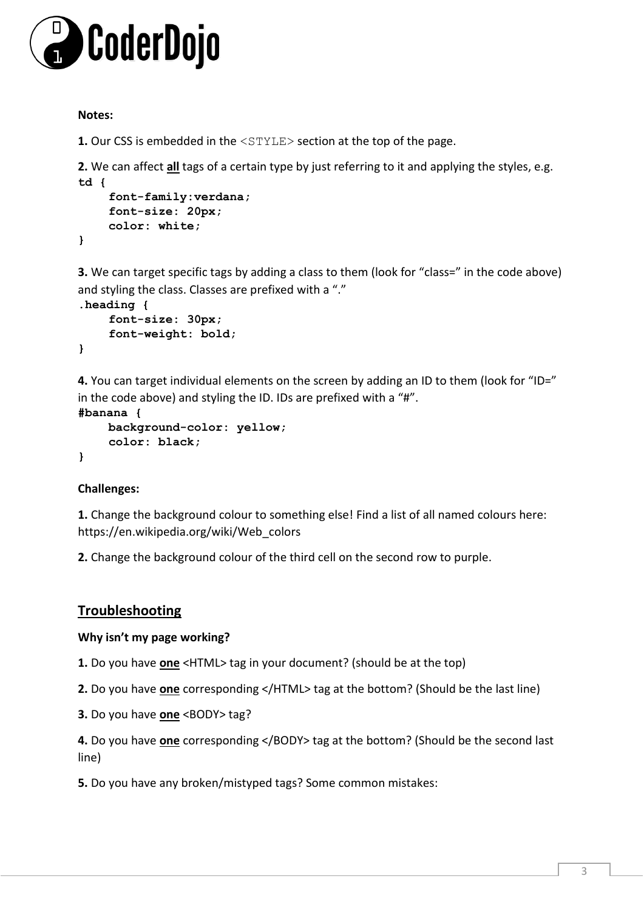

#### **Notes:**

**1.** Our CSS is embedded in the  $\langle \text{STYLE} \rangle$  section at the top of the page.

**2.** We can affect **all** tags of a certain type by just referring to it and applying the styles, e.g. **td {** 

```
font-family:verdana; 
    font-size: 20px; 
    color: white; 
}
```
**3.** We can target specific tags by adding a class to them (look for "class=" in the code above) and styling the class. Classes are prefixed with a "."

```
.heading { 
    font-size: 30px; 
    font-weight: bold; 
}
```
**4.** You can target individual elements on the screen by adding an ID to them (look for "ID=" in the code above) and styling the ID. IDs are prefixed with a "#".

```
#banana { 
    background-color: yellow; 
    color: black; 
}
```
## **Challenges:**

**1.** Change the background colour to something else! Find a list of all named colours here: https://en.wikipedia.org/wiki/Web\_colors

**2.** Change the background colour of the third cell on the second row to purple.

# **Troubleshooting**

#### **Why isn't my page working?**

**1.** Do you have **one** <HTML> tag in your document? (should be at the top)

**2.** Do you have **one** corresponding </HTML> tag at the bottom? (Should be the last line)

**3.** Do you have **one** <BODY> tag?

**4.** Do you have **one** corresponding </BODY> tag at the bottom? (Should be the second last line)

**5.** Do you have any broken/mistyped tags? Some common mistakes: